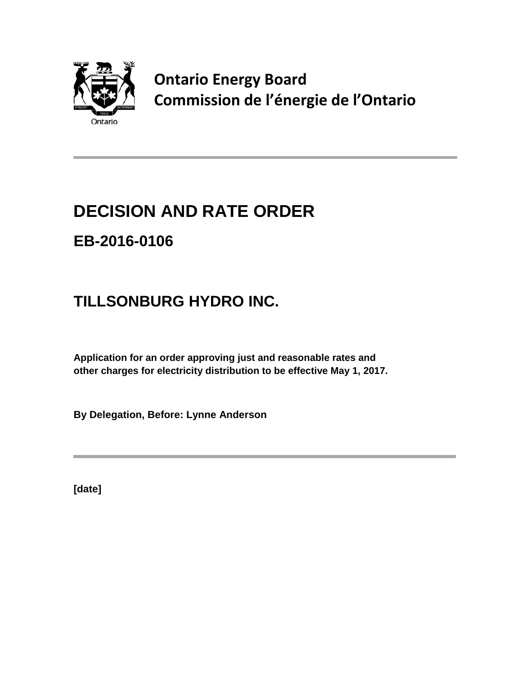

**Ontario Energy Board Commission de l'énergie de l'Ontario**

# **DECISION AND RATE ORDER EB-2016-0106**

## **TILLSONBURG HYDRO INC.**

**Application for an order approving just and reasonable rates and other charges for electricity distribution to be effective May 1, 2017.**

**By Delegation, Before: Lynne Anderson**

**[date]**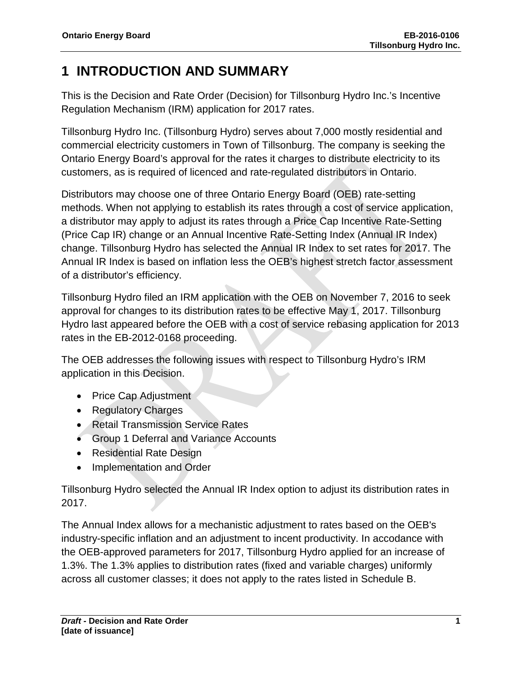## **1 INTRODUCTION AND SUMMARY**

This is the Decision and Rate Order (Decision) for Tillsonburg Hydro Inc.'s Incentive Regulation Mechanism (IRM) application for 2017 rates.

Tillsonburg Hydro Inc. (Tillsonburg Hydro) serves about 7,000 mostly residential and commercial electricity customers in Town of Tillsonburg. The company is seeking the Ontario Energy Board's approval for the rates it charges to distribute electricity to its customers, as is required of licenced and rate-regulated distributors in Ontario.

Distributors may choose one of three Ontario Energy Board (OEB) rate-setting methods. When not applying to establish its rates through a cost of service application, a distributor may apply to adjust its rates through a Price Cap Incentive Rate-Setting (Price Cap IR) change or an Annual Incentive Rate-Setting Index (Annual IR Index) change. Tillsonburg Hydro has selected the Annual IR Index to set rates for 2017. The Annual IR Index is based on inflation less the OEB's highest stretch factor assessment of a distributor's efficiency.

Tillsonburg Hydro filed an IRM application with the OEB on November 7, 2016 to seek approval for changes to its distribution rates to be effective May 1, 2017. Tillsonburg Hydro last appeared before the OEB with a cost of service rebasing application for 2013 rates in the EB-2012-0168 proceeding.

The OEB addresses the following issues with respect to Tillsonburg Hydro's IRM application in this Decision.

- Price Cap Adjustment
- Regulatory Charges
- Retail Transmission Service Rates
- Group 1 Deferral and Variance Accounts
- Residential Rate Design
- Implementation and Order

Tillsonburg Hydro selected the Annual IR Index option to adjust its distribution rates in 2017.

The Annual Index allows for a mechanistic adjustment to rates based on the OEB's industry-specific inflation and an adjustment to incent productivity. In accodance with the OEB-approved parameters for 2017, Tillsonburg Hydro applied for an increase of 1.3%. The 1.3% applies to distribution rates (fixed and variable charges) uniformly across all customer classes; it does not apply to the rates listed in Schedule B.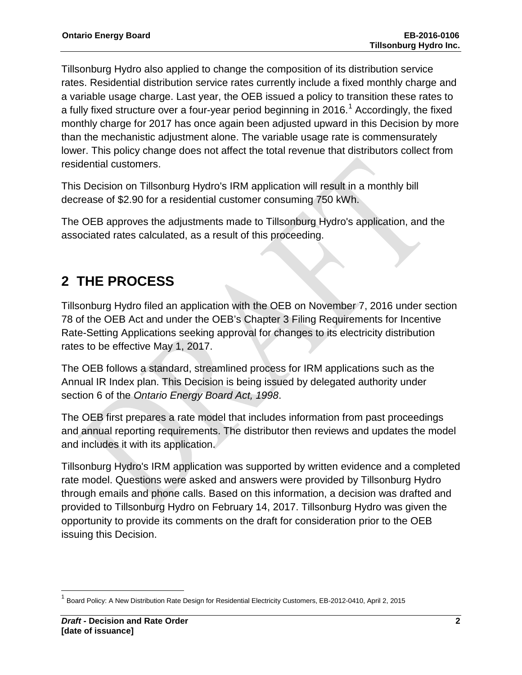Tillsonburg Hydro also applied to change the composition of its distribution service rates. Residential distribution service rates currently include a fixed monthly charge and a variable usage charge. Last year, the OEB issued a policy to transition these rates to a fully fixed structure over a four-year period beginning in 20[1](#page-2-0)6.<sup>1</sup> Accordingly, the fixed monthly charge for 2017 has once again been adjusted upward in this Decision by more than the mechanistic adjustment alone. The variable usage rate is commensurately lower. This policy change does not affect the total revenue that distributors collect from residential customers.

This Decision on Tillsonburg Hydro's IRM application will result in a monthly bill decrease of \$2.90 for a residential customer consuming 750 kWh.

The OEB approves the adjustments made to Tillsonburg Hydro's application, and the associated rates calculated, as a result of this proceeding.

## **2 THE PROCESS**

Tillsonburg Hydro filed an application with the OEB on November 7, 2016 under section 78 of the OEB Act and under the OEB's Chapter 3 Filing Requirements for Incentive Rate-Setting Applications seeking approval for changes to its electricity distribution rates to be effective May 1, 2017.

The OEB follows a standard, streamlined process for IRM applications such as the Annual IR Index plan. This Decision is being issued by delegated authority under section 6 of the *Ontario Energy Board Act, 1998*.

The OEB first prepares a rate model that includes information from past proceedings and annual reporting requirements. The distributor then reviews and updates the model and includes it with its application.

Tillsonburg Hydro's IRM application was supported by written evidence and a completed rate model. Questions were asked and answers were provided by Tillsonburg Hydro through emails and phone calls. Based on this information, a decision was drafted and provided to Tillsonburg Hydro on February 14, 2017. Tillsonburg Hydro was given the opportunity to provide its comments on the draft for consideration prior to the OEB issuing this Decision.

<span id="page-2-0"></span><sup>1</sup> Board Policy: A New Distribution Rate Design for Residential Electricity Customers, EB-2012-0410, April 2, 2015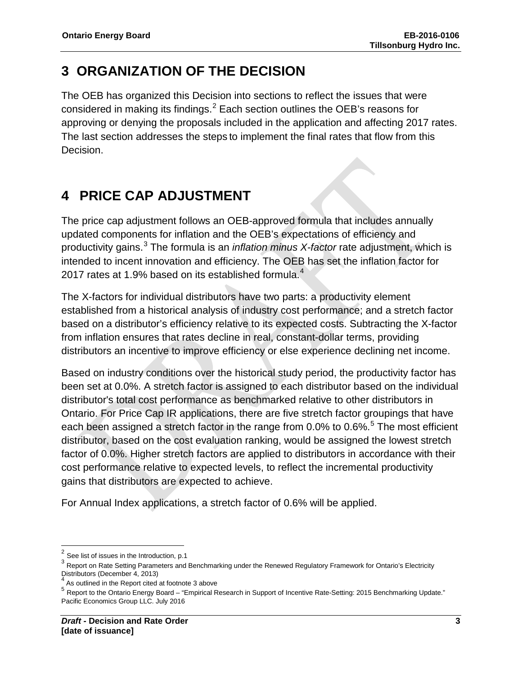## **3 ORGANIZATION OF THE DECISION**

The OEB has organized this Decision into sections to reflect the issues that were considered in making its findings. $^2$  $^2$  Each section outlines the OEB's reasons for approving or denying the proposals included in the application and affecting 2017 rates. The last section addresses the steps to implement the final rates that flow from this Decision.

## **4 PRICE CAP ADJUSTMENT**

The price cap adjustment follows an OEB-approved formula that includes annually updated components for inflation and the OEB's expectations of efficiency and productivity gains. [3](#page-3-1) The formula is an *inflation minus X-factor* rate adjustment, which is intended to incent innovation and efficiency. The OEB has set the inflation factor for 2017 rates at 1.9% based on its established formula.<sup>[4](#page-3-2)</sup>

The X-factors for individual distributors have two parts: a productivity element established from a historical analysis of industry cost performance; and a stretch factor based on a distributor's efficiency relative to its expected costs. Subtracting the X-factor from inflation ensures that rates decline in real, constant-dollar terms, providing distributors an incentive to improve efficiency or else experience declining net income.

Based on industry conditions over the historical study period, the productivity factor has been set at 0.0%. A stretch factor is assigned to each distributor based on the individual distributor's total cost performance as benchmarked relative to other distributors in Ontario. For Price Cap IR applications, there are five stretch factor groupings that have each been assigned a stretch factor in the range from 0.0% to 0.6%.<sup>[5](#page-3-3)</sup> The most efficient distributor, based on the cost evaluation ranking, would be assigned the lowest stretch factor of 0.0%. Higher stretch factors are applied to distributors in accordance with their cost performance relative to expected levels, to reflect the incremental productivity gains that distributors are expected to achieve.

For Annual Index applications, a stretch factor of 0.6% will be applied.

<span id="page-3-0"></span> $2$  See list of issues in the Introduction, p.1

<span id="page-3-1"></span> $3$  Report on Rate Setting Parameters and Benchmarking under the Renewed Regulatory Framework for Ontario's Electricity Distributors (December 4, 2013)

<span id="page-3-2"></span>As outlined in the Report cited at footnote 3 above

<span id="page-3-3"></span><sup>5</sup> Report to the Ontario Energy Board – "Empirical Research in Support of Incentive Rate-Setting: 2015 Benchmarking Update." Pacific Economics Group LLC. July 2016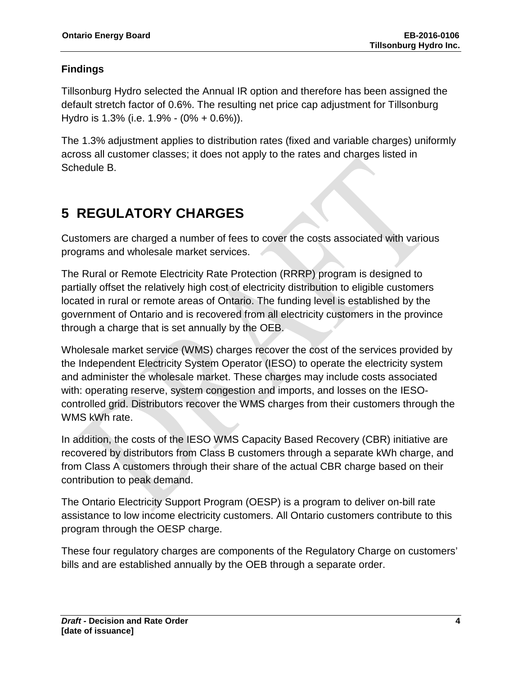### **Findings**

Tillsonburg Hydro selected the Annual IR option and therefore has been assigned the default stretch factor of 0.6%. The resulting net price cap adjustment for Tillsonburg Hydro is 1.3% (i.e. 1.9% - (0% + 0.6%)).

The 1.3% adjustment applies to distribution rates (fixed and variable charges) uniformly across all customer classes; it does not apply to the rates and charges listed in Schedule B.

## **5 REGULATORY CHARGES**

Customers are charged a number of fees to cover the costs associated with various programs and wholesale market services.

The Rural or Remote Electricity Rate Protection (RRRP) program is designed to partially offset the relatively high cost of electricity distribution to eligible customers located in rural or remote areas of Ontario. The funding level is established by the government of Ontario and is recovered from all electricity customers in the province through a charge that is set annually by the OEB.

Wholesale market service (WMS) charges recover the cost of the services provided by the Independent Electricity System Operator (IESO) to operate the electricity system and administer the wholesale market. These charges may include costs associated with: operating reserve, system congestion and imports, and losses on the IESOcontrolled grid. Distributors recover the WMS charges from their customers through the WMS kWh rate.

In addition, the costs of the IESO WMS Capacity Based Recovery (CBR) initiative are recovered by distributors from Class B customers through a separate kWh charge, and from Class A customers through their share of the actual CBR charge based on their contribution to peak demand.

The Ontario Electricity Support Program (OESP) is a program to deliver on-bill rate assistance to low income electricity customers. All Ontario customers contribute to this program through the OESP charge.

These four regulatory charges are components of the Regulatory Charge on customers' bills and are established annually by the OEB through a separate order.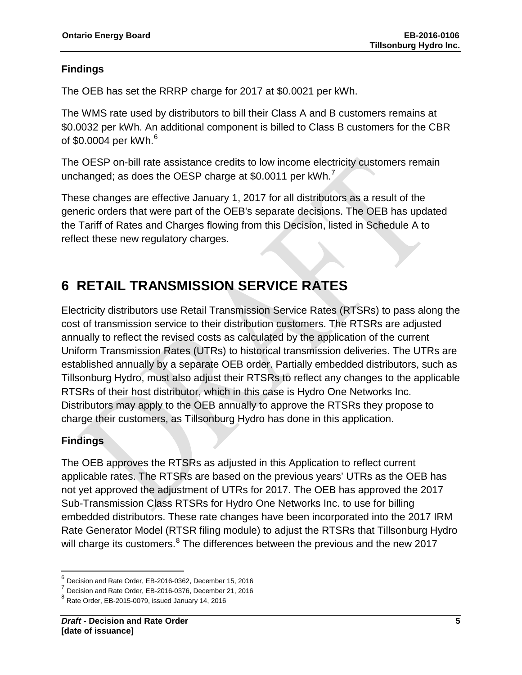### **Findings**

The OEB has set the RRRP charge for 2017 at \$0.0021 per kWh.

The WMS rate used by distributors to bill their Class A and B customers remains at \$0.0032 per kWh. An additional component is billed to Class B customers for the CBR of \$0.0004 per kWh. $^6$  $^6$ 

The OESP on-bill rate assistance credits to low income electricity customers remain unchanged; as does the OESP charge at \$0.0011 per kWh. $\prime$ 

These changes are effective January 1, 2017 for all distributors as a result of the generic orders that were part of the OEB's separate decisions. The OEB has updated the Tariff of Rates and Charges flowing from this Decision, listed in Schedule A to reflect these new regulatory charges.

## **6 RETAIL TRANSMISSION SERVICE RATES**

Electricity distributors use Retail Transmission Service Rates (RTSRs) to pass along the cost of transmission service to their distribution customers. The RTSRs are adjusted annually to reflect the revised costs as calculated by the application of the current Uniform Transmission Rates (UTRs) to historical transmission deliveries. The UTRs are established annually by a separate OEB order. Partially embedded distributors, such as Tillsonburg Hydro, must also adjust their RTSRs to reflect any changes to the applicable RTSRs of their host distributor, which in this case is Hydro One Networks Inc. Distributors may apply to the OEB annually to approve the RTSRs they propose to charge their customers, as Tillsonburg Hydro has done in this application.

### **Findings**

The OEB approves the RTSRs as adjusted in this Application to reflect current applicable rates. The RTSRs are based on the previous years' UTRs as the OEB has not yet approved the adjustment of UTRs for 2017. The OEB has approved the 2017 Sub-Transmission Class RTSRs for Hydro One Networks Inc. to use for billing embedded distributors. These rate changes have been incorporated into the 2017 IRM Rate Generator Model (RTSR filing module) to adjust the RTSRs that Tillsonburg Hydro will charge its customers.<sup>[8](#page-5-2)</sup> The differences between the previous and the new 2017

<span id="page-5-0"></span> $\frac{6}{7}$  Decision and Rate Order, EB-2016-0362, December 15, 2016<br> $\frac{7}{7}$  Decision and Rate Order, EB-2016-0376, December 21, 2016

<span id="page-5-1"></span>

<span id="page-5-2"></span> $8$  Rate Order, EB-2015-0079, issued January 14, 2016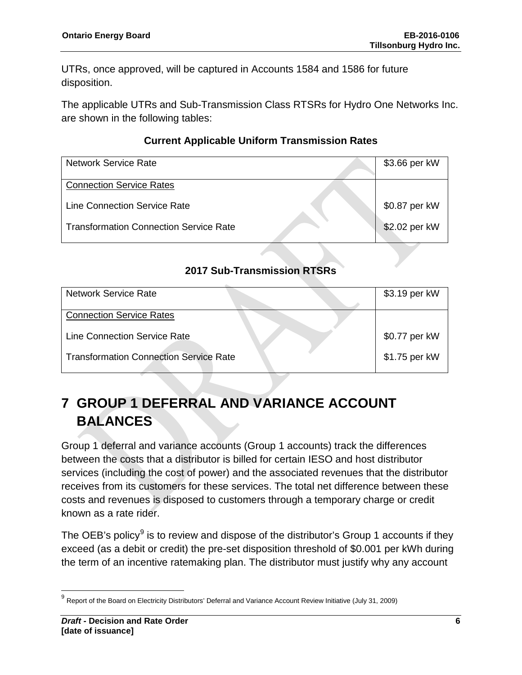UTRs, once approved, will be captured in Accounts 1584 and 1586 for future disposition.

The applicable UTRs and Sub-Transmission Class RTSRs for Hydro One Networks Inc. are shown in the following tables:

### **Current Applicable Uniform Transmission Rates**

| <b>Network Service Rate</b>                   | \$3.66 per kW |
|-----------------------------------------------|---------------|
| <b>Connection Service Rates</b>               |               |
| <b>Line Connection Service Rate</b>           | \$0.87 per kW |
| <b>Transformation Connection Service Rate</b> | \$2.02 per kW |

### **2017 Sub-Transmission RTSRs**

| <b>Network Service Rate</b>                   | \$3.19 per kW |
|-----------------------------------------------|---------------|
| <b>Connection Service Rates</b>               |               |
| Line Connection Service Rate                  | \$0.77 per kW |
| <b>Transformation Connection Service Rate</b> | \$1.75 per kW |

## **7 GROUP 1 DEFERRAL AND VARIANCE ACCOUNT BALANCES**

Group 1 deferral and variance accounts (Group 1 accounts) track the differences between the costs that a distributor is billed for certain IESO and host distributor services (including the cost of power) and the associated revenues that the distributor receives from its customers for these services. The total net difference between these costs and revenues is disposed to customers through a temporary charge or credit known as a rate rider.

The OEB's policy $9$  is to review and dispose of the distributor's Group 1 accounts if they exceed (as a debit or credit) the pre-set disposition threshold of \$0.001 per kWh during the term of an incentive ratemaking plan. The distributor must justify why any account

<span id="page-6-0"></span><sup>&</sup>lt;sup>9</sup> Report of the Board on Electricity Distributors' Deferral and Variance Account Review Initiative (July 31, 2009)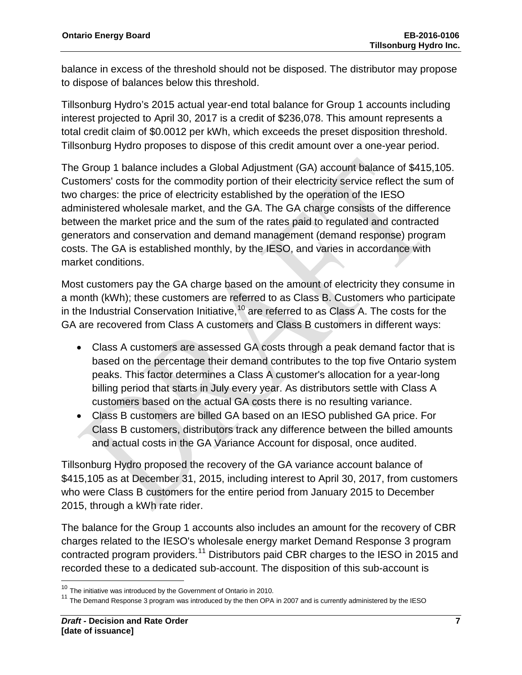balance in excess of the threshold should not be disposed. The distributor may propose to dispose of balances below this threshold.

Tillsonburg Hydro's 2015 actual year-end total balance for Group 1 accounts including interest projected to April 30, 2017 is a credit of \$236,078. This amount represents a total credit claim of \$0.0012 per kWh, which exceeds the preset disposition threshold. Tillsonburg Hydro proposes to dispose of this credit amount over a one-year period.

The Group 1 balance includes a Global Adjustment (GA) account balance of \$415,105. Customers' costs for the commodity portion of their electricity service reflect the sum of two charges: the price of electricity established by the operation of the IESO administered wholesale market, and the GA. The GA charge consists of the difference between the market price and the sum of the rates paid to regulated and contracted generators and conservation and demand management (demand response) program costs. The GA is established monthly, by the IESO, and varies in accordance with market conditions.

Most customers pay the GA charge based on the amount of electricity they consume in a month (kWh); these customers are referred to as Class B. Customers who participate in the Industrial Conservation Initiative,  $10$  are referred to as Class A. The costs for the GA are recovered from Class A customers and Class B customers in different ways:

- Class A customers are assessed GA costs through a peak demand factor that is based on the percentage their demand contributes to the top five Ontario system peaks. This factor determines a Class A customer's allocation for a year-long billing period that starts in July every year. As distributors settle with Class A customers based on the actual GA costs there is no resulting variance.
- Class B customers are billed GA based on an IESO published GA price. For Class B customers, distributors track any difference between the billed amounts and actual costs in the GA Variance Account for disposal, once audited.

Tillsonburg Hydro proposed the recovery of the GA variance account balance of \$415,105 as at December 31, 2015, including interest to April 30, 2017, from customers who were Class B customers for the entire period from January 2015 to December 2015, through a kWh rate rider.

The balance for the Group 1 accounts also includes an amount for the recovery of CBR charges related to the IESO's wholesale energy market Demand Response 3 program contracted program providers.<sup>[11](#page-7-1)</sup> Distributors paid CBR charges to the IESO in 2015 and recorded these to a dedicated sub-account. The disposition of this sub-account is

<span id="page-7-0"></span><sup>&</sup>lt;sup>10</sup> The initiative was introduced by the Government of Ontario in 2010.

<span id="page-7-1"></span> $11$  The Demand Response 3 program was introduced by the then OPA in 2007 and is currently administered by the IESO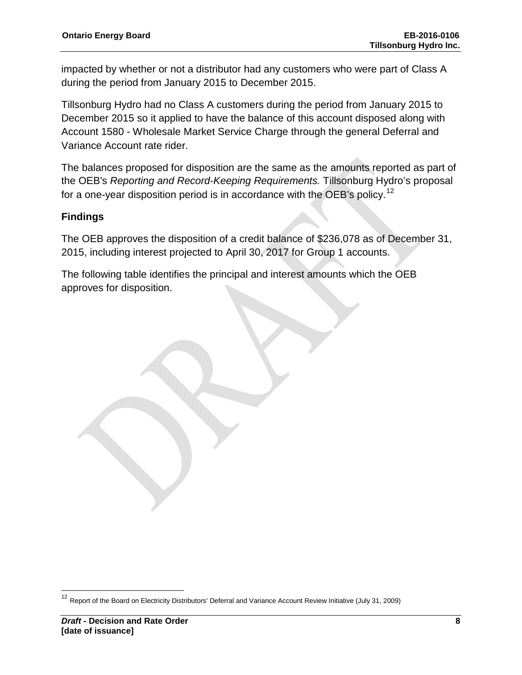impacted by whether or not a distributor had any customers who were part of Class A during the period from January 2015 to December 2015.

Tillsonburg Hydro had no Class A customers during the period from January 2015 to December 2015 so it applied to have the balance of this account disposed along with Account 1580 - Wholesale Market Service Charge through the general Deferral and Variance Account rate rider.

The balances proposed for disposition are the same as the amounts reported as part of the OEB's *Reporting and Record-Keeping Requirements.* Tillsonburg Hydro's proposal for a one-year disposition period is in accordance with the OEB's policy.<sup>[12](#page-8-0)</sup>

### **Findings**

The OEB approves the disposition of a credit balance of \$236,078 as of December 31, 2015, including interest projected to April 30, 2017 for Group 1 accounts.

The following table identifies the principal and interest amounts which the OEB approves for disposition.

<span id="page-8-0"></span><sup>&</sup>lt;sup>12</sup> Report of the Board on Electricity Distributors' Deferral and Variance Account Review Initiative (July 31, 2009)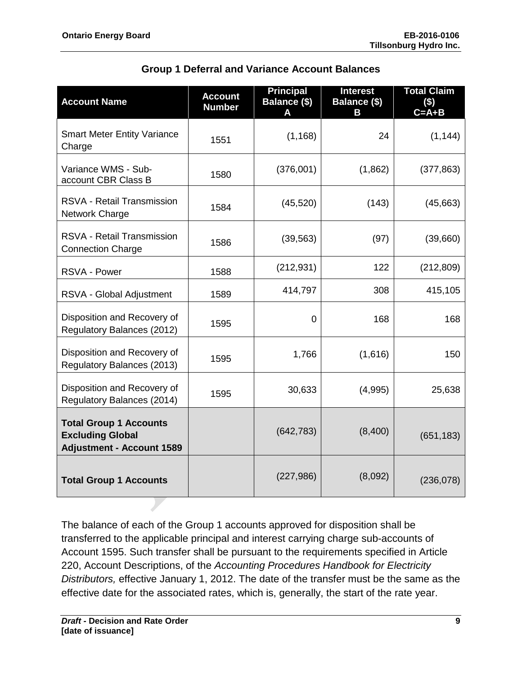| <b>Account Name</b>                                                                          | <b>Account</b><br><b>Number</b> | <b>Principal</b><br><b>Balance (\$)</b> | <b>Interest</b><br><b>Balance (\$)</b><br>В | <b>Total Claim</b><br>$($ \$)<br>$C = A + B$ |
|----------------------------------------------------------------------------------------------|---------------------------------|-----------------------------------------|---------------------------------------------|----------------------------------------------|
| <b>Smart Meter Entity Variance</b><br>Charge                                                 | 1551                            | (1, 168)                                | 24                                          | (1, 144)                                     |
| Variance WMS - Sub-<br>account CBR Class B                                                   | 1580                            | (376,001)                               | (1,862)                                     | (377, 863)                                   |
| RSVA - Retail Transmission<br>Network Charge                                                 | 1584                            | (45, 520)                               | (143)                                       | (45,663)                                     |
| <b>RSVA - Retail Transmission</b><br><b>Connection Charge</b>                                | 1586                            | (39, 563)                               | (97)                                        | (39,660)                                     |
| RSVA - Power                                                                                 | 1588                            | (212, 931)                              | 122                                         | (212, 809)                                   |
| RSVA - Global Adjustment                                                                     | 1589                            | 414,797                                 | 308                                         | 415,105                                      |
| Disposition and Recovery of<br>Regulatory Balances (2012)                                    | 1595                            | 0                                       | 168                                         | 168                                          |
| Disposition and Recovery of<br>Regulatory Balances (2013)                                    | 1595                            | 1,766                                   | (1,616)                                     | 150                                          |
| Disposition and Recovery of<br>Regulatory Balances (2014)                                    | 1595                            | 30,633                                  | (4,995)                                     | 25,638                                       |
| <b>Total Group 1 Accounts</b><br><b>Excluding Global</b><br><b>Adjustment - Account 1589</b> |                                 | (642, 783)                              | (8,400)                                     | (651, 183)                                   |
| <b>Total Group 1 Accounts</b>                                                                |                                 | (227, 986)                              | (8,092)                                     | (236, 078)                                   |

### **Group 1 Deferral and Variance Account Balances**

The balance of each of the Group 1 accounts approved for disposition shall be transferred to the applicable principal and interest carrying charge sub-accounts of Account 1595. Such transfer shall be pursuant to the requirements specified in Article 220, Account Descriptions, of the *Accounting Procedures Handbook for Electricity Distributors,* effective January 1, 2012. The date of the transfer must be the same as the effective date for the associated rates, which is, generally, the start of the rate year.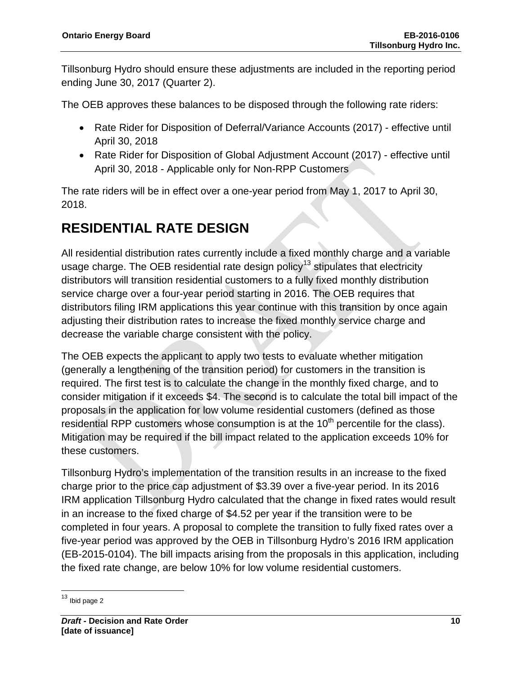Tillsonburg Hydro should ensure these adjustments are included in the reporting period ending June 30, 2017 (Quarter 2).

The OEB approves these balances to be disposed through the following rate riders:

- Rate Rider for Disposition of Deferral/Variance Accounts (2017) effective until April 30, 2018
- Rate Rider for Disposition of Global Adjustment Account (2017) effective until April 30, 2018 - Applicable only for Non-RPP Customers

The rate riders will be in effect over a one-year period from May 1, 2017 to April 30, 2018.

## **RESIDENTIAL RATE DESIGN**

All residential distribution rates currently include a fixed monthly charge and a variable usage charge. The OEB residential rate design policy<sup>[13](#page-10-0)</sup> stipulates that electricity distributors will transition residential customers to a fully fixed monthly distribution service charge over a four-year period starting in 2016. The OEB requires that distributors filing IRM applications this year continue with this transition by once again adjusting their distribution rates to increase the fixed monthly service charge and decrease the variable charge consistent with the policy.

The OEB expects the applicant to apply two tests to evaluate whether mitigation (generally a lengthening of the transition period) for customers in the transition is required. The first test is to calculate the change in the monthly fixed charge, and to consider mitigation if it exceeds \$4. The second is to calculate the total bill impact of the proposals in the application for low volume residential customers (defined as those residential RPP customers whose consumption is at the  $10<sup>th</sup>$  percentile for the class). Mitigation may be required if the bill impact related to the application exceeds 10% for these customers.

Tillsonburg Hydro's implementation of the transition results in an increase to the fixed charge prior to the price cap adjustment of \$3.39 over a five-year period. In its 2016 IRM application Tillsonburg Hydro calculated that the change in fixed rates would result in an increase to the fixed charge of \$4.52 per year if the transition were to be completed in four years. A proposal to complete the transition to fully fixed rates over a five-year period was approved by the OEB in Tillsonburg Hydro's 2016 IRM application (EB-2015-0104). The bill impacts arising from the proposals in this application, including the fixed rate change, are below 10% for low volume residential customers.

<span id="page-10-0"></span> $13$  Ibid page 2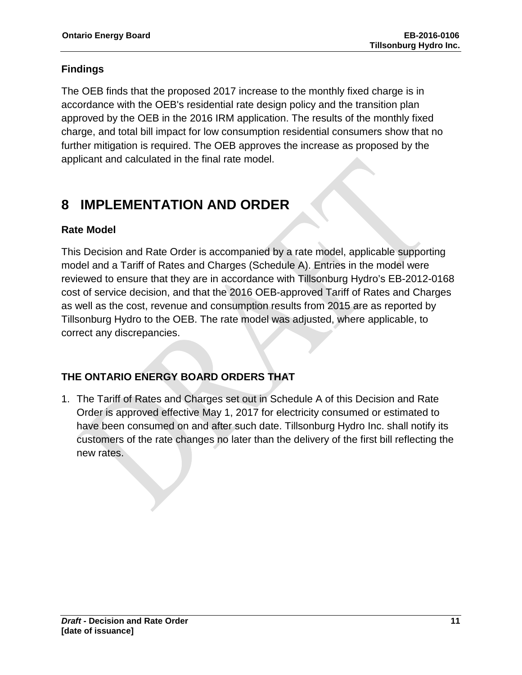### **Findings**

The OEB finds that the proposed 2017 increase to the monthly fixed charge is in accordance with the OEB's residential rate design policy and the transition plan approved by the OEB in the 2016 IRM application. The results of the monthly fixed charge, and total bill impact for low consumption residential consumers show that no further mitigation is required. The OEB approves the increase as proposed by the applicant and calculated in the final rate model.

## **8 IMPLEMENTATION AND ORDER**

### **Rate Model**

This Decision and Rate Order is accompanied by a rate model, applicable supporting model and a Tariff of Rates and Charges (Schedule A). Entries in the model were reviewed to ensure that they are in accordance with Tillsonburg Hydro's EB-2012-0168 cost of service decision, and that the 2016 OEB-approved Tariff of Rates and Charges as well as the cost, revenue and consumption results from 2015 are as reported by Tillsonburg Hydro to the OEB. The rate model was adjusted, where applicable, to correct any discrepancies.

### **THE ONTARIO ENERGY BOARD ORDERS THAT**

1. The Tariff of Rates and Charges set out in Schedule A of this Decision and Rate Order is approved effective May 1, 2017 for electricity consumed or estimated to have been consumed on and after such date. Tillsonburg Hydro Inc. shall notify its customers of the rate changes no later than the delivery of the first bill reflecting the new rates.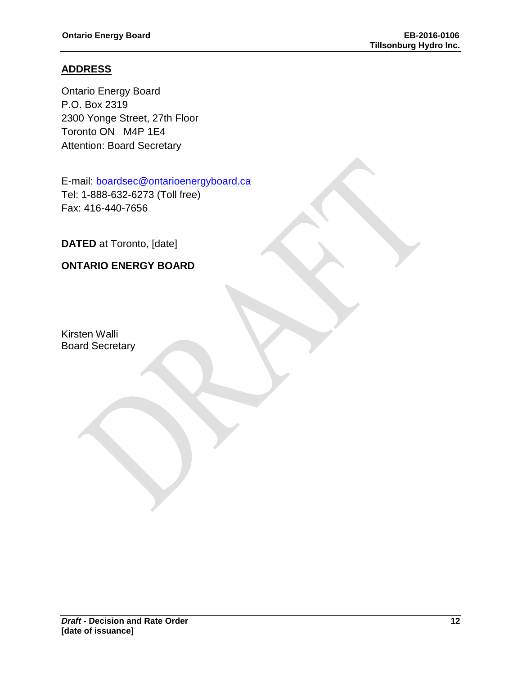### **ADDRESS**

Ontario Energy Board P.O. Box 2319 2300 Yonge Street, 27th Floor Toronto ON M4P 1E4 Attention: Board Secretary

E-mail: [boardsec@ontarioenergyboard.ca](mailto:boardsec@ontarioenergyboard.ca) Tel: 1-888-632-6273 (Toll free) Fax: 416-440-7656

**DATED** at Toronto, [date]

### **ONTARIO ENERGY BOARD**

Kirsten Walli Board Secretary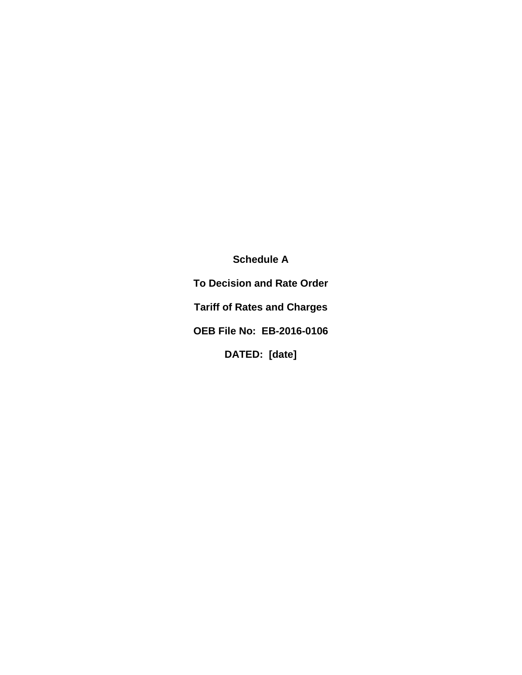**Schedule A To Decision and Rate Order Tariff of Rates and Charges OEB File No: EB-2016-0106 DATED: [date]**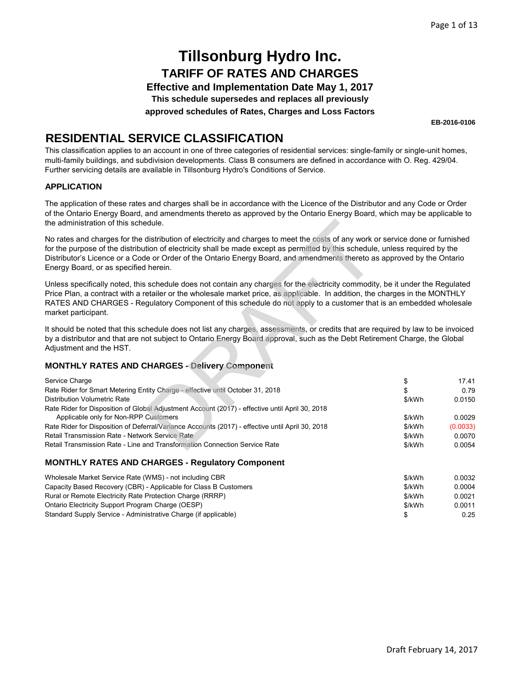**Effective and Implementation Date May 1, 2017**

**This schedule supersedes and replaces all previously**

**approved schedules of Rates, Charges and Loss Factors**

**EB-2016-0106**

### **RESIDENTIAL SERVICE CLASSIFICATION**

This classification applies to an account in one of three categories of residential services: single-family or single-unit homes, multi-family buildings, and subdivision developments. Class B consumers are defined in accordance with O. Reg. 429/04. Further servicing details are available in Tillsonburg Hydro's Conditions of Service.

#### **APPLICATION**

The application of these rates and charges shall be in accordance with the Licence of the Distributor and any Code or Order of the Ontario Energy Board, and amendments thereto as approved by the Ontario Energy Board, which may be applicable to the administration of this schedule.

#### **MONTHLY RATES AND CHARGES - Delivery Component**

| the administration of this schedule.                                                                                                                                                                                                                                                                                                                                                                                                 |        |          |
|--------------------------------------------------------------------------------------------------------------------------------------------------------------------------------------------------------------------------------------------------------------------------------------------------------------------------------------------------------------------------------------------------------------------------------------|--------|----------|
| No rates and charges for the distribution of electricity and charges to meet the costs of any work or service done or furnished<br>for the purpose of the distribution of electricity shall be made except as permitted by this schedule, unless required by the<br>Distributor's Licence or a Code or Order of the Ontario Energy Board, and amendments thereto as approved by the Ontario<br>Energy Board, or as specified herein. |        |          |
| Unless specifically noted, this schedule does not contain any charges for the electricity commodity, be it under the Regulated<br>Price Plan, a contract with a retailer or the wholesale market price, as applicable. In addition, the charges in the MONTHLY<br>RATES AND CHARGES - Regulatory Component of this schedule do not apply to a customer that is an embedded wholesale<br>market participant.                          |        |          |
| It should be noted that this schedule does not list any charges, assessments, or credits that are required by law to be invoiced<br>by a distributor and that are not subject to Ontario Energy Board approval, such as the Debt Retirement Charge, the Global<br>Adjustment and the HST.                                                                                                                                            |        |          |
| <b>MONTHLY RATES AND CHARGES - Delivery Component</b>                                                                                                                                                                                                                                                                                                                                                                                |        |          |
| Service Charge                                                                                                                                                                                                                                                                                                                                                                                                                       | \$     | 17.41    |
| Rate Rider for Smart Metering Entity Charge - effective until October 31, 2018                                                                                                                                                                                                                                                                                                                                                       | \$     | 0.79     |
| <b>Distribution Volumetric Rate</b>                                                                                                                                                                                                                                                                                                                                                                                                  | \$/kWh | 0.0150   |
| Rate Rider for Disposition of Global Adjustment Account (2017) - effective until April 30, 2018                                                                                                                                                                                                                                                                                                                                      |        |          |
| Applicable only for Non-RPP Customers                                                                                                                                                                                                                                                                                                                                                                                                | \$/kWh | 0.0029   |
| Rate Rider for Disposition of Deferral/Variance Accounts (2017) - effective until April 30, 2018                                                                                                                                                                                                                                                                                                                                     | \$/kWh | (0.0033) |
| Retail Transmission Rate - Network Service Rate                                                                                                                                                                                                                                                                                                                                                                                      | \$/kWh | 0.0070   |
| Retail Transmission Rate - Line and Transformation Connection Service Rate                                                                                                                                                                                                                                                                                                                                                           | \$/kWh | 0.0054   |
| <b>MONTHLY RATES AND CHARGES - Regulatory Component</b>                                                                                                                                                                                                                                                                                                                                                                              |        |          |

#### \$/kWh 0.0032 \$/kWh 0.0004 \$/kWh 0.0021 Wholesale Market Service Rate (WMS) - not including CBR Capacity Based Recovery (CBR) - Applicable for Class B Customers Rural or Remote Electricity Rate Protection Charge (RRRP)

| Ontario Electricity Support Program Charge (OESP)               | \$/kWh | 0.0011 |
|-----------------------------------------------------------------|--------|--------|
| Standard Supply Service - Administrative Charge (if applicable) |        | 0.25   |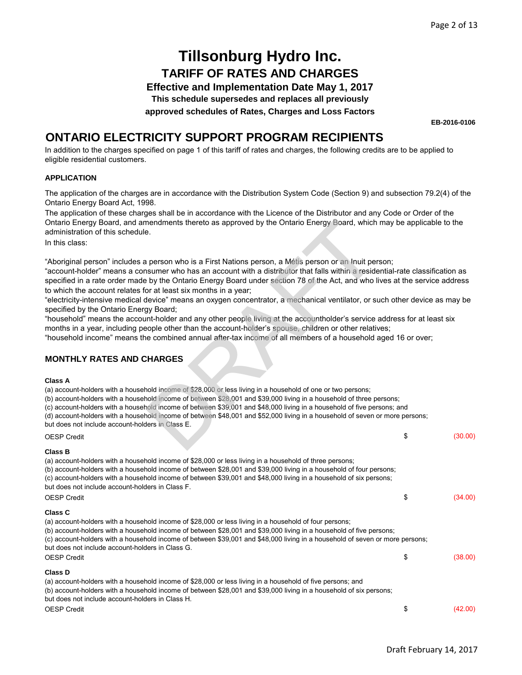**Effective and Implementation Date May 1, 2017**

**This schedule supersedes and replaces all previously**

**approved schedules of Rates, Charges and Loss Factors**

**EB-2016-0106**

### **ONTARIO ELECTRICITY SUPPORT PROGRAM RECIPIENTS**

In addition to the charges specified on page 1 of this tariff of rates and charges, the following credits are to be applied to eligible residential customers.

#### **APPLICATION**

The application of the charges are in accordance with the Distribution System Code (Section 9) and subsection 79.2(4) of the Ontario Energy Board Act, 1998.

The application of these charges shall be in accordance with the Licence of the Distributor and any Code or Order of the Ontario Energy Board, and amendments thereto as approved by the Ontario Energy Board, which may be applicable to the administration of this schedule.

In this class:

"Aboriginal person" includes a person who is a First Nations person, a Métis person or an Inuit person;

"account-holder" means a consumer who has an account with a distributor that falls within a residential-rate classification as specified in a rate order made by the Ontario Energy Board under section 78 of the Act, and who lives at the service address to which the account relates for at least six months in a year; mendments thereto as approved by the Ontario Energy Board, which<br>e.<br>e.<br>happens who is a First Nations person, a Mélis person or an Inuit personner who has an account with a distributor that falls within a reside<br>by the Ont

"electricity-intensive medical device" means an oxygen concentrator, a mechanical ventilator, or such other device as may be specified by the Ontario Energy Board;

"household" means the account-holder and any other people living at the accountholder's service address for at least six months in a year, including people other than the account-holder's spouse, children or other relatives;

"household income" means the combined annual after-tax income of all members of a household aged 16 or over;

#### **MONTHLY RATES AND CHARGES**

#### **Class A**

(a) account-holders with a household income of \$28,000 or less living in a household of one or two persons;

(b) account-holders with a household income of between \$28,001 and \$39,000 living in a household of three persons;

(c) account-holders with a household income of between \$39,001 and \$48,000 living in a household of five persons; and

(d) account-holders with a household income of between \$48,001 and \$52,000 living in a household of seven or more persons;

but does not include account-holders in Class E.

| <b>OESP Credit</b>                                                                                                                                                                                                                                                                                                                                                                                       | \$<br>(30.00) |
|----------------------------------------------------------------------------------------------------------------------------------------------------------------------------------------------------------------------------------------------------------------------------------------------------------------------------------------------------------------------------------------------------------|---------------|
| Class B                                                                                                                                                                                                                                                                                                                                                                                                  |               |
| (a) account-holders with a household income of \$28,000 or less living in a household of three persons;<br>(b) account-holders with a household income of between \$28,001 and \$39,000 living in a household of four persons;<br>(c) account-holders with a household income of between \$39,001 and \$48,000 living in a household of six persons;<br>but does not include account-holders in Class F. |               |
| <b>OESP Credit</b>                                                                                                                                                                                                                                                                                                                                                                                       | \$<br>(34.00) |
| Class C                                                                                                                                                                                                                                                                                                                                                                                                  |               |
| (a) account-holders with a household income of \$28,000 or less living in a household of four persons;                                                                                                                                                                                                                                                                                                   |               |
| (b) account-holders with a household income of between \$28,001 and \$39,000 living in a household of five persons;                                                                                                                                                                                                                                                                                      |               |
| (c) account-holders with a household income of between \$39,001 and \$48,000 living in a household of seven or more persons;<br>but does not include account-holders in Class G.                                                                                                                                                                                                                         |               |
| <b>OESP Credit</b>                                                                                                                                                                                                                                                                                                                                                                                       | \$<br>(38.00) |
| Class D                                                                                                                                                                                                                                                                                                                                                                                                  |               |
| (a) account-holders with a household income of \$28,000 or less living in a household of five persons; and                                                                                                                                                                                                                                                                                               |               |
| (b) account-holders with a household income of between \$28,001 and \$39,000 living in a household of six persons;<br>but does not include account-holders in Class H.                                                                                                                                                                                                                                   |               |
| <b>OESP Credit</b>                                                                                                                                                                                                                                                                                                                                                                                       | \$<br>(42.00) |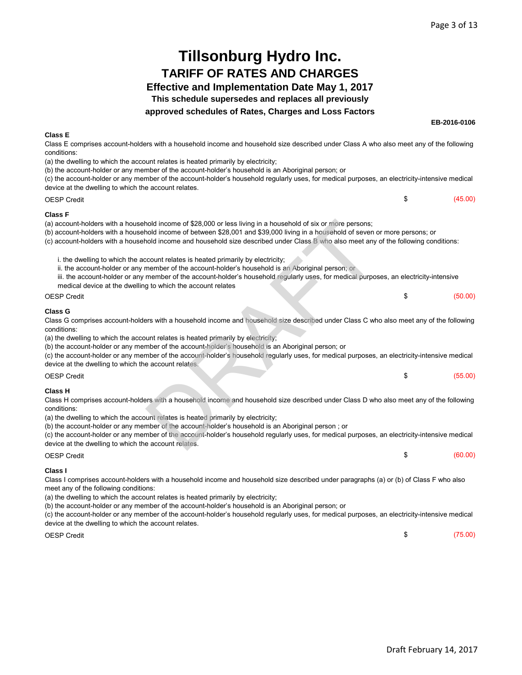#### Page 3 of 13

**EB-2016-0106**

 $$$  (45.00)

\$ (60.00)

## **Tillsonburg Hydro Inc. TARIFF OF RATES AND CHARGES**

#### **Effective and Implementation Date May 1, 2017**

**This schedule supersedes and replaces all previously**

#### **approved schedules of Rates, Charges and Loss Factors**

#### **Class E**

OESP Credit

Class E comprises account-holders with a household income and household size described under Class A who also meet any of the following conditions:

(a) the dwelling to which the account relates is heated primarily by electricity;

(b) the account-holder or any member of the account-holder's household is an Aboriginal person; or

(c) the account-holder or any member of the account-holder's household regularly uses, for medical purposes, an electricity-intensive medical device at the dwelling to which the account relates.

**Class F**

#### (c) account-holders with a household income and household size described under Class B who also meet any of the following conditions:

| i. the dwelling to which the account relates is heated primarily by electricity; |  |
|----------------------------------------------------------------------------------|--|
|----------------------------------------------------------------------------------|--|

- ii. the account-holder or any member of the account-holder's household is an Aboriginal person; or
- iii. the account-holder or any member of the account-holder's household regularly uses, for medical purposes, an electricity-intensive medical device at the dwelling to which the account relates

| SP Credit |  | - 12 | (50.00) |
|-----------|--|------|---------|
|           |  |      |         |

#### **Class G**

| (a) account-holders with a household income of \$28,000 or less living in a household of six or more persons;<br>(b) account-holders with a household income of between \$28,001 and \$39,000 living in a household of seven or more persons; or                                                                                                                                                                                                                                                                                                                             |    |         |
|------------------------------------------------------------------------------------------------------------------------------------------------------------------------------------------------------------------------------------------------------------------------------------------------------------------------------------------------------------------------------------------------------------------------------------------------------------------------------------------------------------------------------------------------------------------------------|----|---------|
| (c) account-holders with a household income and household size described under Class B who also meet any of the following conditions:                                                                                                                                                                                                                                                                                                                                                                                                                                        |    |         |
| i. the dwelling to which the account relates is heated primarily by electricity;<br>ii. the account-holder or any member of the account-holder's household is an Aboriginal person; or<br>iii. the account-holder or any member of the account-holder's household regularly uses, for medical purposes, an electricity-intensive                                                                                                                                                                                                                                             |    |         |
| medical device at the dwelling to which the account relates                                                                                                                                                                                                                                                                                                                                                                                                                                                                                                                  |    |         |
| <b>OESP Credit</b>                                                                                                                                                                                                                                                                                                                                                                                                                                                                                                                                                           | \$ | (50.00) |
| <b>Class G</b><br>Class G comprises account-holders with a household income and household size described under Class C who also meet any of the following<br>conditions:<br>(a) the dwelling to which the account relates is heated primarily by electricity;<br>(b) the account-holder or any member of the account-holder's household is an Aboriginal person; or<br>(c) the account-holder or any member of the account-holder's household regularly uses, for medical purposes, an electricity-intensive medical<br>device at the dwelling to which the account relates. |    |         |
| <b>OESP Credit</b>                                                                                                                                                                                                                                                                                                                                                                                                                                                                                                                                                           | S  | (55.00) |
| <b>Class H</b><br>Class H comprises account-holders with a household income and household size described under Class D who also meet any of the following<br>conditions:<br>(a) the dwelling to which the account relates is heated primarily by electricity;<br>(b) the account-holder or any member of the account-holder's household is an Aboriginal person; or<br>(c) the account-holder or any member of the account-holder's household regularly uses, for medical purposes, an electricity-intensive medical<br>device at the dwelling to which the account relates. |    |         |

| (c) the account-holder or any member of the account-holder's household regularly uses, for medical purposes, an electricity-intensive medical |  |  |  |
|-----------------------------------------------------------------------------------------------------------------------------------------------|--|--|--|
| device at the dwelling to which the account relates.                                                                                          |  |  |  |

OESP Credit

#### **Class I**

Class I comprises account-holders with a household income and household size described under paragraphs (a) or (b) of Class F who also meet any of the following conditions:

(a) the dwelling to which the account relates is heated primarily by electricity;

(b) the account-holder or any member of the account-holder's household is an Aboriginal person; or

(c) the account-holder or any member of the account-holder's household regularly uses, for medical purposes, an electricity-intensive medical device at the dwelling to which the account relates.

OESP Credit

 $$$  (75.00)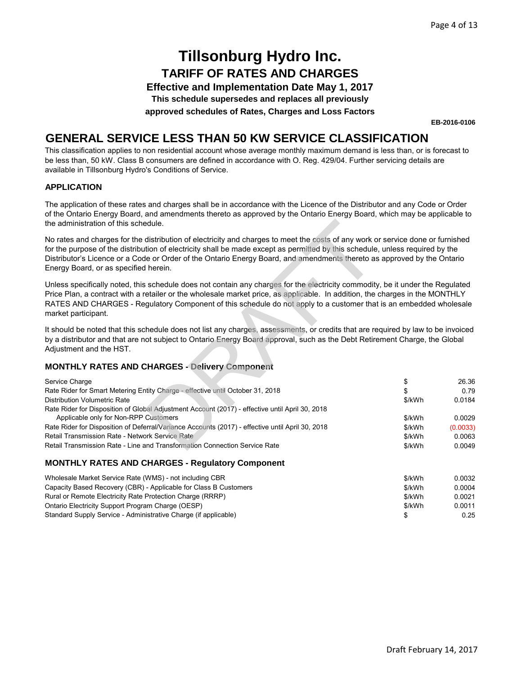**Effective and Implementation Date May 1, 2017**

**This schedule supersedes and replaces all previously**

**approved schedules of Rates, Charges and Loss Factors**

**EB-2016-0106**

### **GENERAL SERVICE LESS THAN 50 KW SERVICE CLASSIFICATION**

This classification applies to non residential account whose average monthly maximum demand is less than, or is forecast to be less than, 50 kW. Class B consumers are defined in accordance with O. Reg. 429/04. Further servicing details are available in Tillsonburg Hydro's Conditions of Service.

#### **APPLICATION**

The application of these rates and charges shall be in accordance with the Licence of the Distributor and any Code or Order of the Ontario Energy Board, and amendments thereto as approved by the Ontario Energy Board, which may be applicable to the administration of this schedule.

#### **MONTHLY RATES AND CHARGES - Delivery Component**

| the administration of this schedule.                                                                                                                                                                                                                                                                                                                                                                                                 |        |          |
|--------------------------------------------------------------------------------------------------------------------------------------------------------------------------------------------------------------------------------------------------------------------------------------------------------------------------------------------------------------------------------------------------------------------------------------|--------|----------|
| No rates and charges for the distribution of electricity and charges to meet the costs of any work or service done or furnished<br>for the purpose of the distribution of electricity shall be made except as permitted by this schedule, unless required by the<br>Distributor's Licence or a Code or Order of the Ontario Energy Board, and amendments thereto as approved by the Ontario<br>Energy Board, or as specified herein. |        |          |
| Unless specifically noted, this schedule does not contain any charges for the electricity commodity, be it under the Regulated<br>Price Plan, a contract with a retailer or the wholesale market price, as applicable. In addition, the charges in the MONTHLY<br>RATES AND CHARGES - Regulatory Component of this schedule do not apply to a customer that is an embedded wholesale<br>market participant.                          |        |          |
| It should be noted that this schedule does not list any charges, assessments, or credits that are required by law to be invoiced<br>by a distributor and that are not subject to Ontario Energy Board approval, such as the Debt Retirement Charge, the Global<br>Adjustment and the HST.                                                                                                                                            |        |          |
| <b>MONTHLY RATES AND CHARGES - Delivery Component</b>                                                                                                                                                                                                                                                                                                                                                                                |        |          |
| Service Charge                                                                                                                                                                                                                                                                                                                                                                                                                       | \$     | 26.36    |
| Rate Rider for Smart Metering Entity Charge - effective until October 31, 2018                                                                                                                                                                                                                                                                                                                                                       | \$     | 0.79     |
| Distribution Volumetric Rate                                                                                                                                                                                                                                                                                                                                                                                                         | \$/kWh | 0.0184   |
| Rate Rider for Disposition of Global Adjustment Account (2017) - effective until April 30, 2018                                                                                                                                                                                                                                                                                                                                      |        |          |
| Applicable only for Non-RPP Customers                                                                                                                                                                                                                                                                                                                                                                                                | \$/kWh | 0.0029   |
| Rate Rider for Disposition of Deferral/Variance Accounts (2017) - effective until April 30, 2018                                                                                                                                                                                                                                                                                                                                     | \$/kWh | (0.0033) |
| Retail Transmission Rate - Network Service Rate                                                                                                                                                                                                                                                                                                                                                                                      | \$/kWh | 0.0063   |
| Retail Transmission Rate - Line and Transformation Connection Service Rate                                                                                                                                                                                                                                                                                                                                                           | \$/kWh | 0.0049   |
| MONTHLY RATES AND CHARGES - Requisiony Component                                                                                                                                                                                                                                                                                                                                                                                     |        |          |

#### **MONTHLY RATES AND CHARGES - Regulatory Component**

| Wholesale Market Service Rate (WMS) - not including CBR          | \$/kWh | 0.0032 |
|------------------------------------------------------------------|--------|--------|
| Capacity Based Recovery (CBR) - Applicable for Class B Customers | \$/kWh | 0.0004 |
| Rural or Remote Electricity Rate Protection Charge (RRRP)        | \$/kWh | 0.0021 |
| Ontario Electricity Support Program Charge (OESP)                | \$/kWh | 0.0011 |
| Standard Supply Service - Administrative Charge (if applicable)  |        | 0.25   |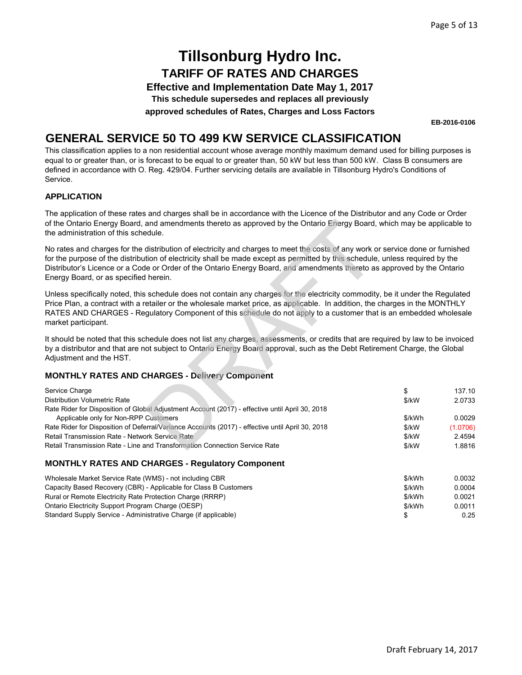**Effective and Implementation Date May 1, 2017**

**This schedule supersedes and replaces all previously**

**approved schedules of Rates, Charges and Loss Factors**

**EB-2016-0106**

### **GENERAL SERVICE 50 TO 499 KW SERVICE CLASSIFICATION**

This classification applies to a non residential account whose average monthly maximum demand used for billing purposes is equal to or greater than, or is forecast to be equal to or greater than, 50 kW but less than 500 kW. Class B consumers are defined in accordance with O. Reg. 429/04. Further servicing details are available in Tillsonburg Hydro's Conditions of Service.

#### **APPLICATION**

The application of these rates and charges shall be in accordance with the Licence of the Distributor and any Code or Order of the Ontario Energy Board, and amendments thereto as approved by the Ontario Energy Board, which may be applicable to the administration of this schedule.

#### **MONTHLY RATES AND CHARGES - Delivery Component**

| No rates and charges for the distribution of electricity and charges to meet the costs of any work or service done or furnished<br>for the purpose of the distribution of electricity shall be made except as permitted by this schedule, unless required by the<br>Distributor's Licence or a Code or Order of the Ontario Energy Board, and amendments thereto as approved by the Ontario<br>Unless specifically noted, this schedule does not contain any charges for the electricity commodity, be it under the Regulated<br>Price Plan, a contract with a retailer or the wholesale market price, as applicable. In addition, the charges in the MONTHLY<br>RATES AND CHARGES - Regulatory Component of this schedule do not apply to a customer that is an embedded wholesale<br>It should be noted that this schedule does not list any charges, assessments, or credits that are required by law to be invoiced<br>by a distributor and that are not subject to Ontario Energy Board approval, such as the Debt Retirement Charge, the Global |
|-------------------------------------------------------------------------------------------------------------------------------------------------------------------------------------------------------------------------------------------------------------------------------------------------------------------------------------------------------------------------------------------------------------------------------------------------------------------------------------------------------------------------------------------------------------------------------------------------------------------------------------------------------------------------------------------------------------------------------------------------------------------------------------------------------------------------------------------------------------------------------------------------------------------------------------------------------------------------------------------------------------------------------------------------------|
|                                                                                                                                                                                                                                                                                                                                                                                                                                                                                                                                                                                                                                                                                                                                                                                                                                                                                                                                                                                                                                                       |
|                                                                                                                                                                                                                                                                                                                                                                                                                                                                                                                                                                                                                                                                                                                                                                                                                                                                                                                                                                                                                                                       |
|                                                                                                                                                                                                                                                                                                                                                                                                                                                                                                                                                                                                                                                                                                                                                                                                                                                                                                                                                                                                                                                       |
|                                                                                                                                                                                                                                                                                                                                                                                                                                                                                                                                                                                                                                                                                                                                                                                                                                                                                                                                                                                                                                                       |
| 137.10<br>2.0733                                                                                                                                                                                                                                                                                                                                                                                                                                                                                                                                                                                                                                                                                                                                                                                                                                                                                                                                                                                                                                      |
| 0.0029                                                                                                                                                                                                                                                                                                                                                                                                                                                                                                                                                                                                                                                                                                                                                                                                                                                                                                                                                                                                                                                |
| (1.0706)                                                                                                                                                                                                                                                                                                                                                                                                                                                                                                                                                                                                                                                                                                                                                                                                                                                                                                                                                                                                                                              |
| 2.4594<br>1.8816                                                                                                                                                                                                                                                                                                                                                                                                                                                                                                                                                                                                                                                                                                                                                                                                                                                                                                                                                                                                                                      |
|                                                                                                                                                                                                                                                                                                                                                                                                                                                                                                                                                                                                                                                                                                                                                                                                                                                                                                                                                                                                                                                       |

#### **MONTHLY RATES AND CHARGES - Regulatory Component**

| Wholesale Market Service Rate (WMS) - not including CBR          | \$/kWh | 0.0032 |
|------------------------------------------------------------------|--------|--------|
| Capacity Based Recovery (CBR) - Applicable for Class B Customers | \$/kWh | 0.0004 |
| Rural or Remote Electricity Rate Protection Charge (RRRP)        | \$/kWh | 0.0021 |
| Ontario Electricity Support Program Charge (OESP)                | \$/kWh | 0.0011 |
| Standard Supply Service - Administrative Charge (if applicable)  |        | 0.25   |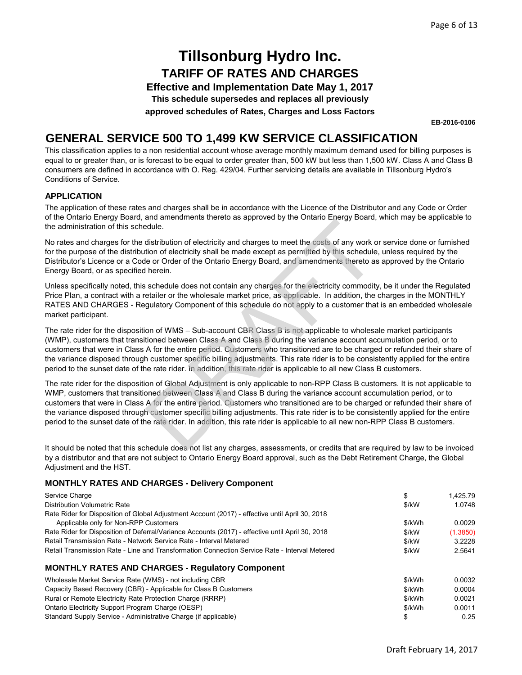**Effective and Implementation Date May 1, 2017**

**This schedule supersedes and replaces all previously**

**approved schedules of Rates, Charges and Loss Factors**

**EB-2016-0106**

### **GENERAL SERVICE 500 TO 1,499 KW SERVICE CLASSIFICATION**

This classification applies to a non residential account whose average monthly maximum demand used for billing purposes is equal to or greater than, or is forecast to be equal to order greater than, 500 kW but less than 1,500 kW. Class A and Class B consumers are defined in accordance with O. Reg. 429/04. Further servicing details are available in Tillsonburg Hydro's Conditions of Service.

#### **APPLICATION**

The application of these rates and charges shall be in accordance with the Licence of the Distributor and any Code or Order of the Ontario Energy Board, and amendments thereto as approved by the Ontario Energy Board, which may be applicable to the administration of this schedule.

No rates and charges for the distribution of electricity and charges to meet the costs of any work or service done or furnished for the purpose of the distribution of electricity shall be made except as permitted by this schedule, unless required by the Distributor's Licence or a Code or Order of the Ontario Energy Board, and amendments thereto as approved by the Ontario Energy Board, or as specified herein.

Unless specifically noted, this schedule does not contain any charges for the electricity commodity, be it under the Regulated Price Plan, a contract with a retailer or the wholesale market price, as applicable. In addition, the charges in the MONTHLY RATES AND CHARGES - Regulatory Component of this schedule do not apply to a customer that is an embedded wholesale market participant.

The rate rider for the disposition of WMS – Sub-account CBR Class B is not applicable to wholesale market participants (WMP), customers that transitioned between Class A and Class B during the variance account accumulation period, or to customers that were in Class A for the entire period. Customers who transitioned are to be charged or refunded their share of the variance disposed through customer specific billing adjustments. This rate rider is to be consistently applied for the entire period to the sunset date of the rate rider. In addition, this rate rider is applicable to all new Class B customers.

The rate rider for the disposition of Global Adjustment is only applicable to non-RPP Class B customers. It is not applicable to WMP, customers that transitioned between Class A and Class B during the variance account accumulation period, or to customers that were in Class A for the entire period. Customers who transitioned are to be charged or refunded their share of the variance disposed through customer specific billing adjustments. This rate rider is to be consistently applied for the entire period to the sunset date of the rate rider. In addition, this rate rider is applicable to all new non-RPP Class B customers. and university and charges to meet the costs of any work conductors and distribution of electricity and charges to meet the costs of any work conduction of electricity shall be made except as permitted by this schedule or

It should be noted that this schedule does not list any charges, assessments, or credits that are required by law to be invoiced by a distributor and that are not subject to Ontario Energy Board approval, such as the Debt Retirement Charge, the Global Adjustment and the HST.

#### **MONTHLY RATES AND CHARGES - Delivery Component**

| Service Charge                                                                                                                           | \$     | 1.425.79 |
|------------------------------------------------------------------------------------------------------------------------------------------|--------|----------|
| Distribution Volumetric Rate                                                                                                             | \$/kW  | 1.0748   |
| Rate Rider for Disposition of Global Adjustment Account (2017) - effective until April 30, 2018<br>Applicable only for Non-RPP Customers | \$/kWh | 0.0029   |
| Rate Rider for Disposition of Deferral/Variance Accounts (2017) - effective until April 30, 2018                                         | \$/kW  | (1.3850) |
| Retail Transmission Rate - Network Service Rate - Interval Metered                                                                       | \$/kW  | 3.2228   |
| Retail Transmission Rate - Line and Transformation Connection Service Rate - Interval Metered                                            | \$/kW  | 2.5641   |
| <b>MONTHLY RATES AND CHARGES - Regulatory Component</b>                                                                                  |        |          |
| Wholesale Market Service Rate (WMS) - not including CBR                                                                                  | \$/kWh | 0.0032   |
| Capacity Based Recovery (CBR) - Applicable for Class B Customers                                                                         | \$/kWh | 0.0004   |
| Rural or Remote Electricity Rate Protection Charge (RRRP)                                                                                | \$/kWh | 0.0021   |
| Ontario Electricity Support Program Charge (OESP)                                                                                        | \$/kWh | 0.0011   |
| Standard Supply Service - Administrative Charge (if applicable)                                                                          | \$     | 0.25     |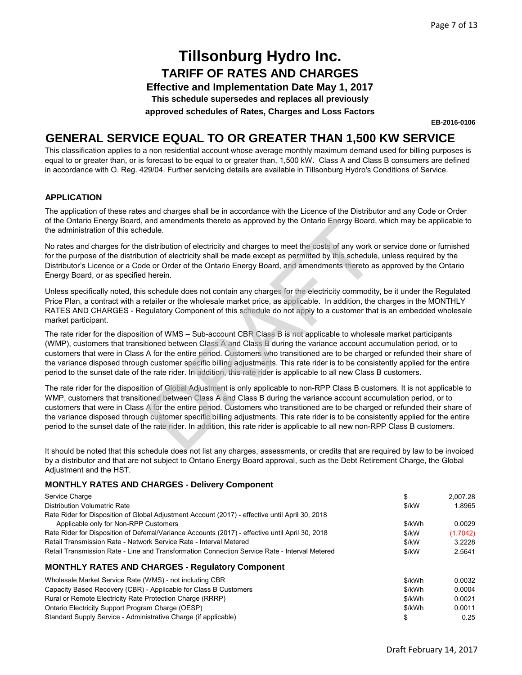**Effective and Implementation Date May 1, 2017**

**This schedule supersedes and replaces all previously**

**approved schedules of Rates, Charges and Loss Factors**

**EB-2016-0106**

### **GENERAL SERVICE EQUAL TO OR GREATER THAN 1,500 KW SERVICE**

This classification applies to a non residential account whose average monthly maximum demand used for billing purposes is equal to or greater than, or is forecast to be equal to or greater than, 1,500 kW. Class A and Class B consumers are defined in accordance with O. Reg. 429/04. Further servicing details are available in Tillsonburg Hydro's Conditions of Service.

#### **APPLICATION**

The application of these rates and charges shall be in accordance with the Licence of the Distributor and any Code or Order of the Ontario Energy Board, and amendments thereto as approved by the Ontario Energy Board, which may be applicable to the administration of this schedule.

No rates and charges for the distribution of electricity and charges to meet the costs of any work or service done or furnished for the purpose of the distribution of electricity shall be made except as permitted by this schedule, unless required by the Distributor's Licence or a Code or Order of the Ontario Energy Board, and amendments thereto as approved by the Ontario Energy Board, or as specified herein.

Unless specifically noted, this schedule does not contain any charges for the electricity commodity, be it under the Regulated Price Plan, a contract with a retailer or the wholesale market price, as applicable. In addition, the charges in the MONTHLY RATES AND CHARGES - Regulatory Component of this schedule do not apply to a customer that is an embedded wholesale market participant.

The rate rider for the disposition of WMS – Sub-account CBR Class B is not applicable to wholesale market participants (WMP), customers that transitioned between Class A and Class B during the variance account accumulation period, or to customers that were in Class A for the entire period. Customers who transitioned are to be charged or refunded their share of the variance disposed through customer specific billing adjustments. This rate rider is to be consistently applied for the entire period to the sunset date of the rate rider. In addition, this rate rider is applicable to all new Class B customers. and amendments thereto as approved by the Ontario Energy Board,<br>distribution of electricity and charges to meet the costs of any work control distribution of electricity shall be made except as permitted by this schedule<br>t

The rate rider for the disposition of Global Adjustment is only applicable to non-RPP Class B customers. It is not applicable to WMP, customers that transitioned between Class A and Class B during the variance account accumulation period, or to customers that were in Class A for the entire period. Customers who transitioned are to be charged or refunded their share of the variance disposed through customer specific billing adjustments. This rate rider is to be consistently applied for the entire period to the sunset date of the rate rider. In addition, this rate rider is applicable to all new non-RPP Class B customers.

It should be noted that this schedule does not list any charges, assessments, or credits that are required by law to be invoiced by a distributor and that are not subject to Ontario Energy Board approval, such as the Debt Retirement Charge, the Global Adjustment and the HST.

#### **MONTHLY RATES AND CHARGES - Delivery Component**

| Service Charge                                                                                   | \$     | 2.007.28 |
|--------------------------------------------------------------------------------------------------|--------|----------|
| Distribution Volumetric Rate                                                                     | \$/kW  | 1.8965   |
| Rate Rider for Disposition of Global Adjustment Account (2017) - effective until April 30, 2018  |        |          |
| Applicable only for Non-RPP Customers                                                            | \$/kWh | 0.0029   |
| Rate Rider for Disposition of Deferral/Variance Accounts (2017) - effective until April 30, 2018 | \$/kW  | (1.7042) |
| Retail Transmission Rate - Network Service Rate - Interval Metered                               | \$/kW  | 3.2228   |
| Retail Transmission Rate - Line and Transformation Connection Service Rate - Interval Metered    | \$/kW  | 2.5641   |
| <b>MONTHLY RATES AND CHARGES - Regulatory Component</b>                                          |        |          |
| Wholesale Market Service Rate (WMS) - not including CBR                                          | \$/kWh | 0.0032   |
| Capacity Based Recovery (CBR) - Applicable for Class B Customers                                 | \$/kWh | 0.0004   |
| Rural or Remote Electricity Rate Protection Charge (RRRP)                                        | \$/kWh | 0.0021   |
| Ontario Electricity Support Program Charge (OESP)                                                | \$/kWh | 0.0011   |
| Standard Supply Service - Administrative Charge (if applicable)                                  | \$     | 0.25     |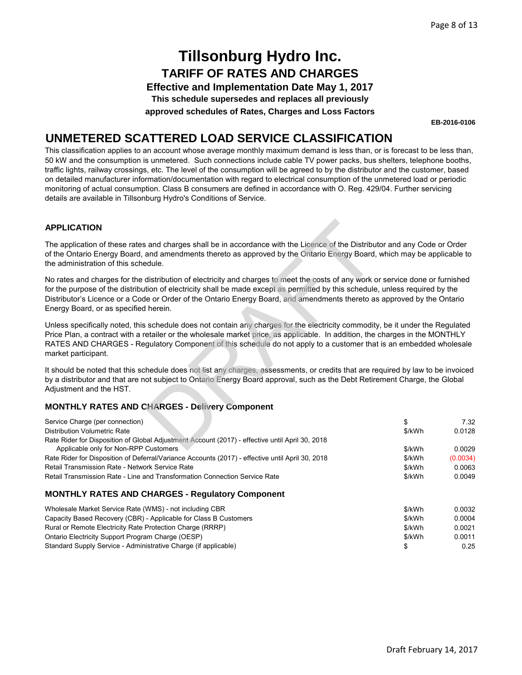**Effective and Implementation Date May 1, 2017**

**This schedule supersedes and replaces all previously**

**approved schedules of Rates, Charges and Loss Factors**

**EB-2016-0106**

### **UNMETERED SCATTERED LOAD SERVICE CLASSIFICATION**

This classification applies to an account whose average monthly maximum demand is less than, or is forecast to be less than, 50 kW and the consumption is unmetered. Such connections include cable TV power packs, bus shelters, telephone booths, traffic lights, railway crossings, etc. The level of the consumption will be agreed to by the distributor and the customer, based on detailed manufacturer information/documentation with regard to electrical consumption of the unmetered load or periodic monitoring of actual consumption. Class B consumers are defined in accordance with O. Reg. 429/04. Further servicing details are available in Tillsonburg Hydro's Conditions of Service.

#### **APPLICATION**

The application of these rates and charges shall be in accordance with the Licence of the Distributor and any Code or Order of the Ontario Energy Board, and amendments thereto as approved by the Ontario Energy Board, which may be applicable to the administration of this schedule.

No rates and charges for the distribution of electricity and charges to meet the costs of any work or service done or furnished for the purpose of the distribution of electricity shall be made except as permitted by this schedule, unless required by the Distributor's Licence or a Code or Order of the Ontario Energy Board, and amendments thereto as approved by the Ontario Energy Board, or as specified herein. and charges shall be in accordance with the Licence of the Distribution<br>and amendments thereto as approved by the Ontario Energy Board,<br>distribution of electricity and charges to meet the costs of any work c<br>tion of electr

Unless specifically noted, this schedule does not contain any charges for the electricity commodity, be it under the Regulated Price Plan, a contract with a retailer or the wholesale market price, as applicable. In addition, the charges in the MONTHLY RATES AND CHARGES - Regulatory Component of this schedule do not apply to a customer that is an embedded wholesale market participant.

It should be noted that this schedule does not list any charges, assessments, or credits that are required by law to be invoiced by a distributor and that are not subject to Ontario Energy Board approval, such as the Debt Retirement Charge, the Global Adjustment and the HST.

#### **MONTHLY RATES AND CHARGES - Delivery Component**

Standard Supply Service - Administrative Charge (if applicable)

| Service Charge (per connection)                                                                  | \$     | 7.32     |
|--------------------------------------------------------------------------------------------------|--------|----------|
| Distribution Volumetric Rate                                                                     | \$/kWh | 0.0128   |
| Rate Rider for Disposition of Global Adjustment Account (2017) - effective until April 30, 2018  |        |          |
| Applicable only for Non-RPP Customers                                                            | \$/kWh | 0.0029   |
| Rate Rider for Disposition of Deferral/Variance Accounts (2017) - effective until April 30, 2018 | \$/kWh | (0.0034) |
| Retail Transmission Rate - Network Service Rate                                                  | \$/kWh | 0.0063   |
| Retail Transmission Rate - Line and Transformation Connection Service Rate                       | \$/kWh | 0.0049   |
| <b>MONTHLY RATES AND CHARGES - Regulatory Component</b>                                          |        |          |
| Wholesale Market Service Rate (WMS) - not including CBR                                          | \$/kWh | 0.0032   |
| Capacity Based Recovery (CBR) - Applicable for Class B Customers                                 | \$/kWh | 0.0004   |
| Rural or Remote Electricity Rate Protection Charge (RRRP)                                        | \$/kWh | 0.0021   |
| Ontario Electricity Support Program Charge (OESP)                                                | \$/kWh | 0.0011   |
| Standard Supply Service - Administrative Charge (if applicable)                                  | \$     | 0.25     |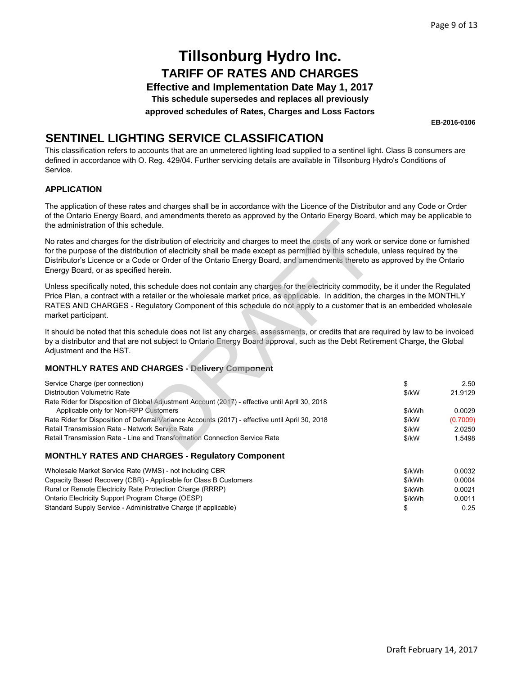**Effective and Implementation Date May 1, 2017**

**This schedule supersedes and replaces all previously**

**approved schedules of Rates, Charges and Loss Factors**

**EB-2016-0106**

### **SENTINEL LIGHTING SERVICE CLASSIFICATION**

This classification refers to accounts that are an unmetered lighting load supplied to a sentinel light. Class B consumers are defined in accordance with O. Reg. 429/04. Further servicing details are available in Tillsonburg Hydro's Conditions of Service.

#### **APPLICATION**

The application of these rates and charges shall be in accordance with the Licence of the Distributor and any Code or Order of the Ontario Energy Board, and amendments thereto as approved by the Ontario Energy Board, which may be applicable to the administration of this schedule.

#### **MONTHLY RATES AND CHARGES - Delivery Component**

| the administration of this schedule.                                                                                                                                                                                                                                                                                                                                                                                                 |        |          |
|--------------------------------------------------------------------------------------------------------------------------------------------------------------------------------------------------------------------------------------------------------------------------------------------------------------------------------------------------------------------------------------------------------------------------------------|--------|----------|
| No rates and charges for the distribution of electricity and charges to meet the costs of any work or service done or furnished<br>for the purpose of the distribution of electricity shall be made except as permitted by this schedule, unless required by the<br>Distributor's Licence or a Code or Order of the Ontario Energy Board, and amendments thereto as approved by the Ontario<br>Energy Board, or as specified herein. |        |          |
| Unless specifically noted, this schedule does not contain any charges for the electricity commodity, be it under the Regulated<br>Price Plan, a contract with a retailer or the wholesale market price, as applicable. In addition, the charges in the MONTHLY<br>RATES AND CHARGES - Regulatory Component of this schedule do not apply to a customer that is an embedded wholesale<br>market participant.                          |        |          |
| It should be noted that this schedule does not list any charges, assessments, or credits that are required by law to be invoiced<br>by a distributor and that are not subject to Ontario Energy Board approval, such as the Debt Retirement Charge, the Global<br>Adjustment and the HST.                                                                                                                                            |        |          |
| <b>MONTHLY RATES AND CHARGES - Delivery Component</b>                                                                                                                                                                                                                                                                                                                                                                                |        |          |
| Service Charge (per connection)                                                                                                                                                                                                                                                                                                                                                                                                      | \$     | 2.50     |
| Distribution Volumetric Rate                                                                                                                                                                                                                                                                                                                                                                                                         | \$/kW  | 21.9129  |
| Rate Rider for Disposition of Global Adjustment Account (2017) - effective until April 30, 2018<br>Applicable only for Non-RPP Customers                                                                                                                                                                                                                                                                                             | \$/kWh | 0.0029   |
| Rate Rider for Disposition of Deferral/Variance Accounts (2017) - effective until April 30, 2018                                                                                                                                                                                                                                                                                                                                     | \$/kW  | (0.7009) |
| Retail Transmission Rate - Network Service Rate                                                                                                                                                                                                                                                                                                                                                                                      | \$/kW  | 2.0250   |
| Retail Transmission Rate - Line and Transformation Connection Service Rate                                                                                                                                                                                                                                                                                                                                                           | \$/kW  | 1.5498   |
| <b>MONTHLY RATES AND CHARGES - Regulatory Component</b>                                                                                                                                                                                                                                                                                                                                                                              |        |          |

| Wholesale Market Service Rate (WMS) - not including CBR          | \$/kWh | 0.0032 |
|------------------------------------------------------------------|--------|--------|
| Capacity Based Recovery (CBR) - Applicable for Class B Customers | \$/kWh | 0.0004 |
| Rural or Remote Electricity Rate Protection Charge (RRRP)        | \$/kWh | 0.0021 |
| Ontario Electricity Support Program Charge (OESP)                | \$/kWh | 0.0011 |
| Standard Supply Service - Administrative Charge (if applicable)  |        | 0.25   |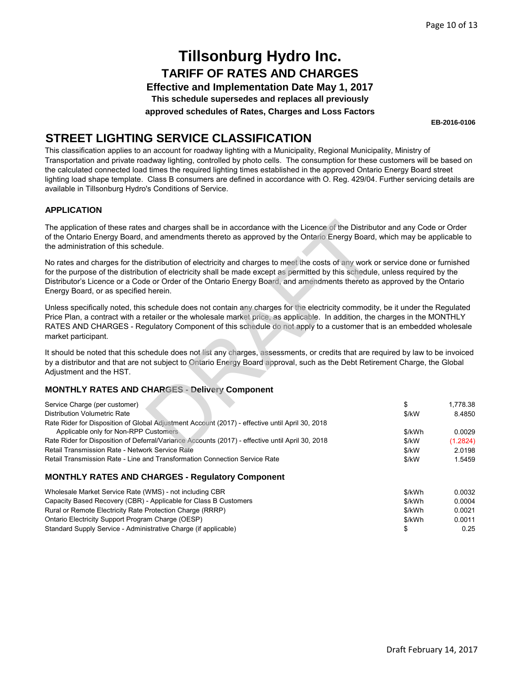**Effective and Implementation Date May 1, 2017**

**This schedule supersedes and replaces all previously**

**approved schedules of Rates, Charges and Loss Factors**

**EB-2016-0106**

### **STREET LIGHTING SERVICE CLASSIFICATION**

This classification applies to an account for roadway lighting with a Municipality, Regional Municipality, Ministry of Transportation and private roadway lighting, controlled by photo cells. The consumption for these customers will be based on the calculated connected load times the required lighting times established in the approved Ontario Energy Board street lighting load shape template. Class B consumers are defined in accordance with O. Reg. 429/04. Further servicing details are available in Tillsonburg Hydro's Conditions of Service.

#### **APPLICATION**

#### **MONTHLY RATES AND CHARGES - Delivery Component**

| The application of these rates and charges shall be in accordance with the Licence of the Distributor and any Code or Order<br>of the Ontario Energy Board, and amendments thereto as approved by the Ontario Energy Board, which may be applicable to<br>the administration of this schedule.                                                                                                                                                                                                            |                                                  |                                                              |
|-----------------------------------------------------------------------------------------------------------------------------------------------------------------------------------------------------------------------------------------------------------------------------------------------------------------------------------------------------------------------------------------------------------------------------------------------------------------------------------------------------------|--------------------------------------------------|--------------------------------------------------------------|
| No rates and charges for the distribution of electricity and charges to meet the costs of any work or service done or furnished<br>for the purpose of the distribution of electricity shall be made except as permitted by this schedule, unless required by the<br>Distributor's Licence or a Code or Order of the Ontario Energy Board, and amendments thereto as approved by the Ontario<br>Energy Board, or as specified herein.                                                                      |                                                  |                                                              |
| Unless specifically noted, this schedule does not contain any charges for the electricity commodity, be it under the Regulated<br>Price Plan, a contract with a retailer or the wholesale market price, as applicable. In addition, the charges in the MONTHLY<br>RATES AND CHARGES - Regulatory Component of this schedule do not apply to a customer that is an embedded wholesale<br>market participant.                                                                                               |                                                  |                                                              |
| It should be noted that this schedule does not list any charges, assessments, or credits that are required by law to be invoiced<br>by a distributor and that are not subject to Ontario Energy Board approval, such as the Debt Retirement Charge, the Global<br>Adjustment and the HST.                                                                                                                                                                                                                 |                                                  |                                                              |
| <b>MONTHLY RATES AND CHARGES - Delivery Component</b>                                                                                                                                                                                                                                                                                                                                                                                                                                                     |                                                  |                                                              |
| Service Charge (per customer)<br>Distribution Volumetric Rate<br>Rate Rider for Disposition of Global Adjustment Account (2017) - effective until April 30, 2018<br>Applicable only for Non-RPP Customers<br>Rate Rider for Disposition of Deferral/Variance Accounts (2017) - effective until April 30, 2018<br>Retail Transmission Rate - Network Service Rate<br>Retail Transmission Rate - Line and Transformation Connection Service Rate<br><b>MONTHLY RATES AND CHARGES - Regulatory Component</b> | \$<br>\$/kW<br>\$/kWh<br>\$/kW<br>\$/kW<br>\$/kW | 1,778.38<br>8.4850<br>0.0029<br>(1.2824)<br>2.0198<br>1.5459 |
| Wholesale Market Service Rate (WMS) - not including CBR                                                                                                                                                                                                                                                                                                                                                                                                                                                   | \$/kWh                                           | 0.0032                                                       |
| Capacity Based Recovery (CBR) - Applicable for Class B Customers                                                                                                                                                                                                                                                                                                                                                                                                                                          | \$/kWh                                           | 0.0004                                                       |
| Rural or Remote Electricity Rate Protection Charge (RRRP)                                                                                                                                                                                                                                                                                                                                                                                                                                                 | \$/kWh                                           | 0.0021                                                       |
| Ontario Electricity Support Program Charge (OESP)                                                                                                                                                                                                                                                                                                                                                                                                                                                         | \$/kWh                                           | 0.0011                                                       |
| Standard Supply Service - Administrative Charge (if applicable)                                                                                                                                                                                                                                                                                                                                                                                                                                           | \$                                               | 0.25                                                         |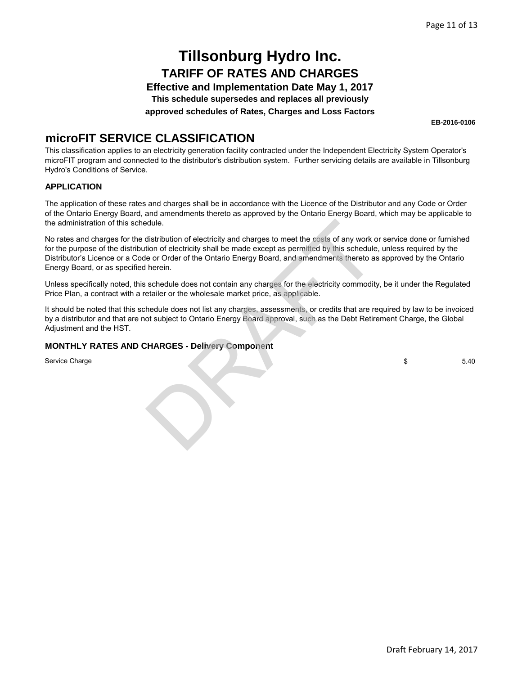**Effective and Implementation Date May 1, 2017**

**This schedule supersedes and replaces all previously**

**approved schedules of Rates, Charges and Loss Factors**

**EB-2016-0106**

### **microFIT SERVICE CLASSIFICATION**

This classification applies to an electricity generation facility contracted under the Independent Electricity System Operator's microFIT program and connected to the distributor's distribution system. Further servicing details are available in Tillsonburg Hydro's Conditions of Service.

#### **APPLICATION**

The application of these rates and charges shall be in accordance with the Licence of the Distributor and any Code or Order of the Ontario Energy Board, and amendments thereto as approved by the Ontario Energy Board, which may be applicable to the administration of this schedule.

No rates and charges for the distribution of electricity and charges to meet the costs of any work or service done or furnished for the purpose of the distribution of electricity shall be made except as permitted by this schedule, unless required by the Distributor's Licence or a Code or Order of the Ontario Energy Board, and amendments thereto as approved by the Ontario Energy Board, or as specified herein. edule.<br>
distribution of electricity and charges to meet the costs of any work constrained in distribution of electricity shall be made except as permitted by this schedule<br>
le or Order of the Ontario Energy Board, and amen

Unless specifically noted, this schedule does not contain any charges for the electricity commodity, be it under the Regulated Price Plan, a contract with a retailer or the wholesale market price, as applicable.

It should be noted that this schedule does not list any charges, assessments, or credits that are required by law to be invoiced by a distributor and that are not subject to Ontario Energy Board approval, such as the Debt Retirement Charge, the Global Adjustment and the HST.

#### **MONTHLY RATES AND CHARGES - Delivery Component**

Service Charge

\$ 5.40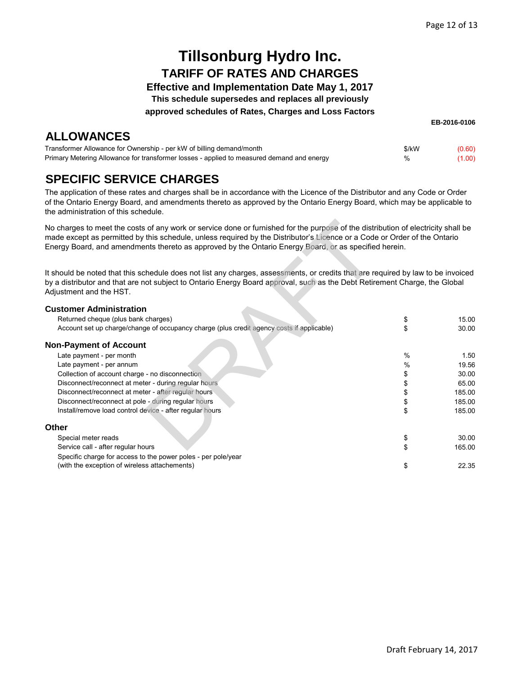**Effective and Implementation Date May 1, 2017**

**This schedule supersedes and replaces all previously**

**approved schedules of Rates, Charges and Loss Factors**

## **ALLOWANCES**

**EB-2016-0106**

| Transformer Allowance for Ownership - per kW of billing demand/month                      | \$/kW | (0.60) |
|-------------------------------------------------------------------------------------------|-------|--------|
| Primary Metering Allowance for transformer losses - applied to measured demand and energy | %     | (1.00) |

## **SPECIFIC SERVICE CHARGES**

The application of these rates and charges shall be in accordance with the Licence of the Distributor and any Code or Order of the Ontario Energy Board, and amendments thereto as approved by the Ontario Energy Board, which may be applicable to the administration of this schedule.

| No charges to meet the costs of any work or service done or furnished for the purpose of the distribution of electricity shall be<br>made except as permitted by this schedule, unless required by the Distributor's Licence or a Code or Order of the Ontario<br>Energy Board, and amendments thereto as approved by the Ontario Energy Board, or as specified herein. |               |        |
|-------------------------------------------------------------------------------------------------------------------------------------------------------------------------------------------------------------------------------------------------------------------------------------------------------------------------------------------------------------------------|---------------|--------|
| It should be noted that this schedule does not list any charges, assessments, or credits that are required by law to be invoiced<br>by a distributor and that are not subject to Ontario Energy Board approval, such as the Debt Retirement Charge, the Global<br>Adjustment and the HST.                                                                               |               |        |
| <b>Customer Administration</b>                                                                                                                                                                                                                                                                                                                                          |               |        |
| Returned cheque (plus bank charges)                                                                                                                                                                                                                                                                                                                                     | \$            | 15.00  |
| Account set up charge/change of occupancy charge (plus credit agency costs if applicable)                                                                                                                                                                                                                                                                               | \$            | 30.00  |
| <b>Non-Payment of Account</b>                                                                                                                                                                                                                                                                                                                                           |               |        |
| Late payment - per month                                                                                                                                                                                                                                                                                                                                                | $\frac{0}{0}$ | 1.50   |
| Late payment - per annum                                                                                                                                                                                                                                                                                                                                                | %             | 19.56  |
| Collection of account charge - no disconnection                                                                                                                                                                                                                                                                                                                         | \$            | 30.00  |
| Disconnect/reconnect at meter - during regular hours                                                                                                                                                                                                                                                                                                                    | \$            | 65.00  |
| Disconnect/reconnect at meter - after regular hours                                                                                                                                                                                                                                                                                                                     | \$            | 185.00 |
| Disconnect/reconnect at pole - during regular hours                                                                                                                                                                                                                                                                                                                     | \$            | 185.00 |
| Install/remove load control device - after regular hours                                                                                                                                                                                                                                                                                                                | \$            | 185.00 |
| <b>Other</b>                                                                                                                                                                                                                                                                                                                                                            |               |        |
| Special meter reads                                                                                                                                                                                                                                                                                                                                                     | \$            | 30.00  |
| Service call - after regular hours                                                                                                                                                                                                                                                                                                                                      | \$            | 165.00 |
| Specific charge for access to the power poles - per pole/year                                                                                                                                                                                                                                                                                                           |               |        |
| (with the exception of wireless attachements)                                                                                                                                                                                                                                                                                                                           | \$            | 22.35  |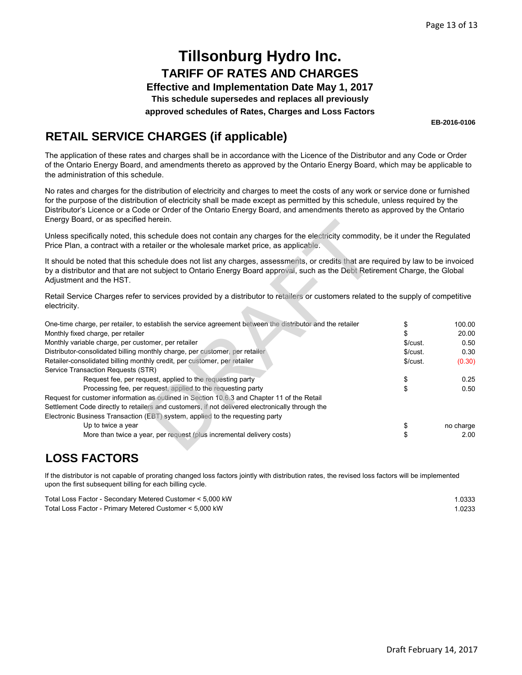**Effective and Implementation Date May 1, 2017**

**This schedule supersedes and replaces all previously**

**approved schedules of Rates, Charges and Loss Factors**

**EB-2016-0106**

## **RETAIL SERVICE CHARGES (if applicable)**

The application of these rates and charges shall be in accordance with the Licence of the Distributor and any Code or Order of the Ontario Energy Board, and amendments thereto as approved by the Ontario Energy Board, which may be applicable to the administration of this schedule.

No rates and charges for the distribution of electricity and charges to meet the costs of any work or service done or furnished for the purpose of the distribution of electricity shall be made except as permitted by this schedule, unless required by the Distributor's Licence or a Code or Order of the Ontario Energy Board, and amendments thereto as approved by the Ontario Energy Board, or as specified herein.

| Effergy Board, or as specified herein.                                                                                                                                                                                                                                                    |         |           |
|-------------------------------------------------------------------------------------------------------------------------------------------------------------------------------------------------------------------------------------------------------------------------------------------|---------|-----------|
| Unless specifically noted, this schedule does not contain any charges for the electricity commodity, be it under the Regulated<br>Price Plan, a contract with a retailer or the wholesale market price, as applicable.                                                                    |         |           |
| It should be noted that this schedule does not list any charges, assessments, or credits that are required by law to be invoiced<br>by a distributor and that are not subject to Ontario Energy Board approval, such as the Debt Retirement Charge, the Global<br>Adjustment and the HST. |         |           |
| Retail Service Charges refer to services provided by a distributor to retailers or customers related to the supply of competitive<br>electricity.                                                                                                                                         |         |           |
| One-time charge, per retailer, to establish the service agreement between the distributor and the retailer                                                                                                                                                                                | \$      | 100.00    |
| Monthly fixed charge, per retailer                                                                                                                                                                                                                                                        |         | 20.00     |
| Monthly variable charge, per customer, per retailer                                                                                                                                                                                                                                       | \$/cut. | 0.50      |
| Distributor-consolidated billing monthly charge, per customer, per retailer                                                                                                                                                                                                               | \$/cut. | 0.30      |
| Retailer-consolidated billing monthly credit, per customer, per retailer                                                                                                                                                                                                                  | \$/cut. | (0.30)    |
| Service Transaction Requests (STR)                                                                                                                                                                                                                                                        |         |           |
| Request fee, per request, applied to the requesting party                                                                                                                                                                                                                                 | \$      | 0.25      |
| Processing fee, per request, applied to the requesting party                                                                                                                                                                                                                              | \$      | 0.50      |
| Request for customer information as outlined in Section 10.6.3 and Chapter 11 of the Retail                                                                                                                                                                                               |         |           |
| Settlement Code directly to retailers and customers, if not delivered electronically through the                                                                                                                                                                                          |         |           |
| Electronic Business Transaction (EBT) system, applied to the requesting party                                                                                                                                                                                                             |         |           |
| Up to twice a year                                                                                                                                                                                                                                                                        | \$      | no charge |
| More than twice a year, per request (plus incremental delivery costs)                                                                                                                                                                                                                     | \$      | 2.00      |

### **LOSS FACTORS**

If the distributor is not capable of prorating changed loss factors jointly with distribution rates, the revised loss factors will be implemented upon the first subsequent billing for each billing cycle.

| Total Loss Factor - Secondary Metered Customer < 5,000 kW | .0333  |
|-----------------------------------------------------------|--------|
| Total Loss Factor - Primary Metered Customer < 5,000 kW   | 1.0233 |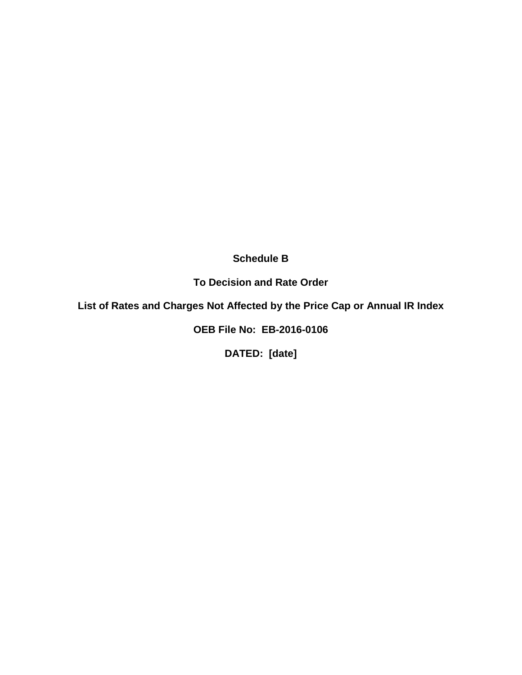**Schedule B**

**To Decision and Rate Order**

**List of Rates and Charges Not Affected by the Price Cap or Annual IR Index**

**OEB File No: EB-2016-0106**

**DATED: [date]**